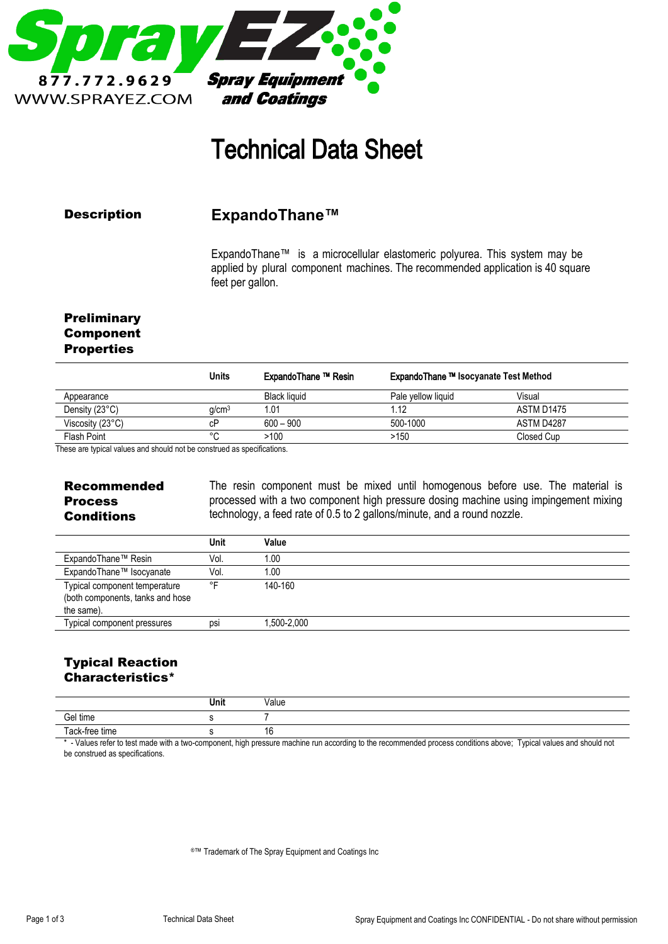

# Technical Data Sheet

### Description

**ExpandoThane™**

ExpandoThane™ is a microcellular elastomeric polyurea. This system may be applied by plural component machines. The recommended application is 40 square feet per gallon.

## **Preliminary** Component **Properties**

|                           | <b>Units</b>      | ExpandoThane ™ Resin | ExpandoThane ™ Isocyanate Test Method |            |
|---------------------------|-------------------|----------------------|---------------------------------------|------------|
| Appearance                |                   | Black liquid         | Pale vellow liquid                    | Visual     |
| Density (23°C)            | q/cm <sup>3</sup> | 1.01                 | 1.12                                  | ASTM D1475 |
| Viscosity $(23^{\circ}C)$ | сP                | $600 - 900$          | 500-1000                              | ASTM D4287 |
| Flash Point               | $\circ$           | >100                 | >150                                  | Closed Cup |

These are typical values and should not be construed as specifications.

Recommended Process **Conditions** 

The resin component must be mixed until homogenous before use. The material is processed with a two component high pressure dosing machine using impingement mixing technology, a feed rate of 0.5 to 2 gallons/minute, and a round nozzle.

|                                                                                 | Unit | Value        |  |
|---------------------------------------------------------------------------------|------|--------------|--|
| ExpandoThane™ Resin                                                             | Vol. | 1.00         |  |
| ExpandoThane™ Isocyanate                                                        | Vol. | 1.00         |  |
| Typical component temperature<br>(both components, tanks and hose<br>the same). | ∘⊏   | 140-160      |  |
| Typical component pressures                                                     | psi  | .500-2,000 ا |  |

# Typical Reaction Characteristics\*

|                | Unit | Value              |
|----------------|------|--------------------|
| Gel time       |      |                    |
| Tack-free time |      | 16<br>טו<br>$\sim$ |

- Values refer to test made with a two-component, high pressure machine run according to the recommended process conditions above; Typical values and should not be construed as specifications.

®™ Trademark of The Spray Equipment and Coatings Inc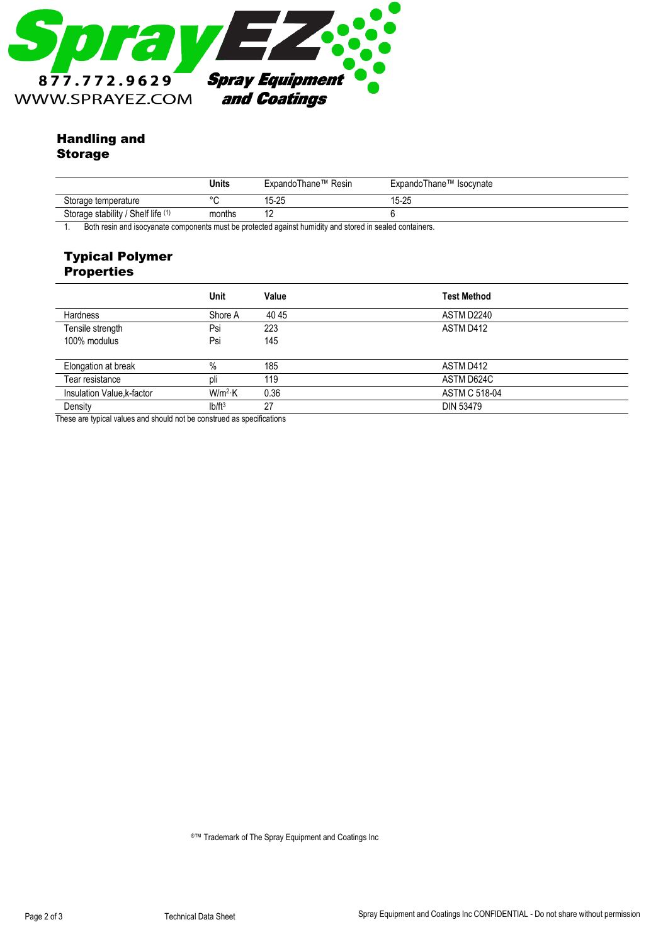

## Handling and Storage

|                                    | Units   | ExpandoThane™ Resin | ExpandoThane™ Isocynate |  |
|------------------------------------|---------|---------------------|-------------------------|--|
| Storage temperature                | $\circ$ | 15-25               | 15-25                   |  |
| Storage stability / Shelf life (1) | months  | . .                 |                         |  |

1. Both resin and isocyanate components must be protected against humidity and stored in sealed containers.

### Typical Polymer **Properties**

|                            | Unit      | Value | <b>Test Method</b>   |
|----------------------------|-----------|-------|----------------------|
| Hardness                   | Shore A   | 4045  | ASTM D2240           |
| Tensile strength           | Psi       | 223   | ASTM D412            |
| 100% modulus               | Psi       | 145   |                      |
|                            |           |       |                      |
| Elongation at break        | $\%$      | 185   | ASTM D412            |
| Tear resistance            | pli       | 119   | ASTM D624C           |
| Insulation Value, k-factor | $W/m^2$ K | 0.36  | <b>ASTM C 518-04</b> |
| Density                    | $Ib/ft^3$ | 27    | <b>DIN 53479</b>     |

These are typical values and should not be construed as specifications

®™ Trademark of The Spray Equipment and Coatings Inc